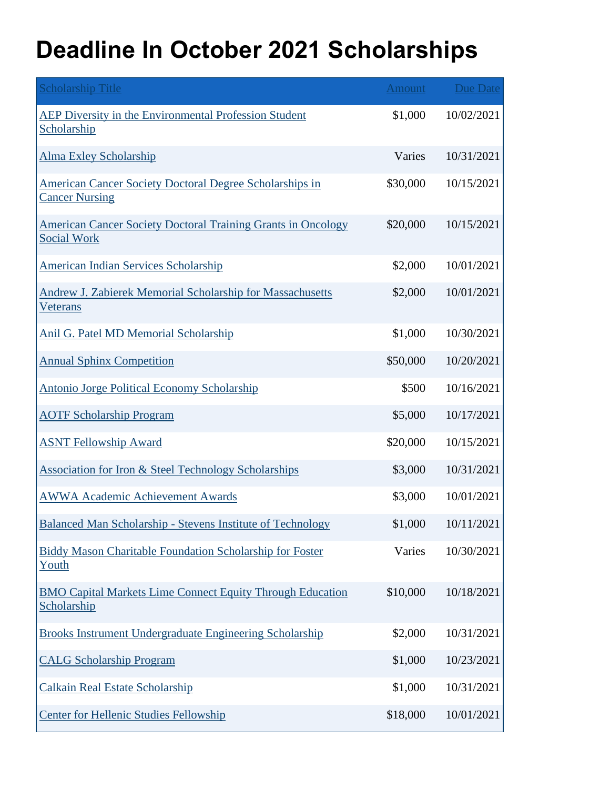## **Deadline In October 2021 Scholarships**

| <b>Scholarship Title</b>                                                                  | <b>Amount</b> | <b>Due Date</b> |
|-------------------------------------------------------------------------------------------|---------------|-----------------|
| AEP Diversity in the Environmental Profession Student<br>Scholarship                      | \$1,000       | 10/02/2021      |
| <b>Alma Exley Scholarship</b>                                                             | Varies        | 10/31/2021      |
| American Cancer Society Doctoral Degree Scholarships in<br><b>Cancer Nursing</b>          | \$30,000      | 10/15/2021      |
| <b>American Cancer Society Doctoral Training Grants in Oncology</b><br><b>Social Work</b> | \$20,000      | 10/15/2021      |
| <b>American Indian Services Scholarship</b>                                               | \$2,000       | 10/01/2021      |
| Andrew J. Zabierek Memorial Scholarship for Massachusetts<br><u>Veterans</u>              | \$2,000       | 10/01/2021      |
| Anil G. Patel MD Memorial Scholarship                                                     | \$1,000       | 10/30/2021      |
| <b>Annual Sphinx Competition</b>                                                          | \$50,000      | 10/20/2021      |
| <b>Antonio Jorge Political Economy Scholarship</b>                                        | \$500         | 10/16/2021      |
| <b>AOTF Scholarship Program</b>                                                           | \$5,000       | 10/17/2021      |
| <b>ASNT Fellowship Award</b>                                                              | \$20,000      | 10/15/2021      |
| <b>Association for Iron &amp; Steel Technology Scholarships</b>                           | \$3,000       | 10/31/2021      |
| <b>AWWA Academic Achievement Awards</b>                                                   | \$3,000       | 10/01/2021      |
| <b>Balanced Man Scholarship - Stevens Institute of Technology</b>                         | \$1,000       | 10/11/2021      |
| <b>Biddy Mason Charitable Foundation Scholarship for Foster</b><br>Youth                  | Varies        | 10/30/2021      |
| <b>BMO Capital Markets Lime Connect Equity Through Education</b><br>Scholarship           | \$10,000      | 10/18/2021      |
| Brooks Instrument Undergraduate Engineering Scholarship                                   | \$2,000       | 10/31/2021      |
| <b>CALG Scholarship Program</b>                                                           | \$1,000       | 10/23/2021      |
| <b>Calkain Real Estate Scholarship</b>                                                    | \$1,000       | 10/31/2021      |
| <b>Center for Hellenic Studies Fellowship</b>                                             | \$18,000      | 10/01/2021      |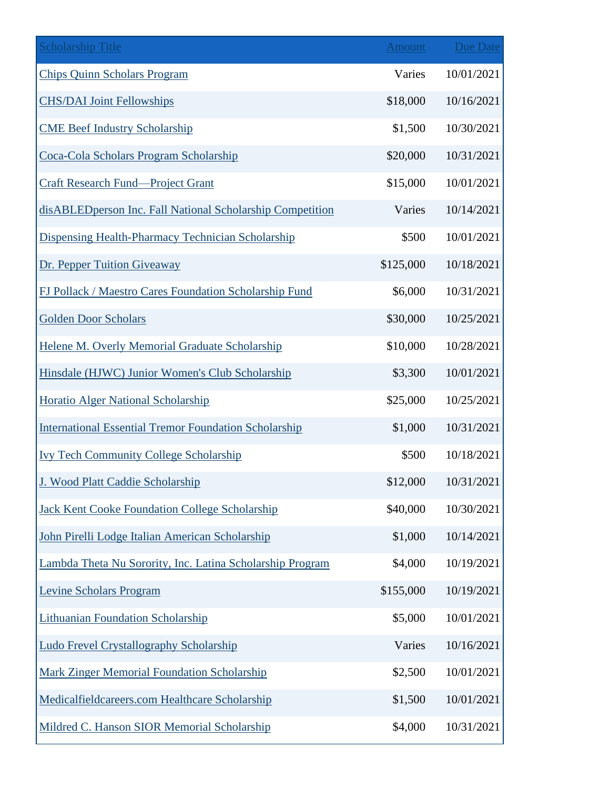| <b>Scholarship Title</b>                                     | <b>Amount</b> | <b>Due Date</b> |
|--------------------------------------------------------------|---------------|-----------------|
| <b>Chips Quinn Scholars Program</b>                          | Varies        | 10/01/2021      |
| <b>CHS/DAI Joint Fellowships</b>                             | \$18,000      | 10/16/2021      |
| <b>CME Beef Industry Scholarship</b>                         | \$1,500       | 10/30/2021      |
| Coca-Cola Scholars Program Scholarship                       | \$20,000      | 10/31/2021      |
| <b>Craft Research Fund—Project Grant</b>                     | \$15,000      | 10/01/2021      |
| disABLEDperson Inc. Fall National Scholarship Competition    | Varies        | 10/14/2021      |
| Dispensing Health-Pharmacy Technician Scholarship            | \$500         | 10/01/2021      |
| Dr. Pepper Tuition Giveaway                                  | \$125,000     | 10/18/2021      |
| FJ Pollack / Maestro Cares Foundation Scholarship Fund       | \$6,000       | 10/31/2021      |
| <b>Golden Door Scholars</b>                                  | \$30,000      | 10/25/2021      |
| Helene M. Overly Memorial Graduate Scholarship               | \$10,000      | 10/28/2021      |
| Hinsdale (HJWC) Junior Women's Club Scholarship              | \$3,300       | 10/01/2021      |
| Horatio Alger National Scholarship                           | \$25,000      | 10/25/2021      |
| <b>International Essential Tremor Foundation Scholarship</b> | \$1,000       | 10/31/2021      |
| <b>Ivy Tech Community College Scholarship</b>                | \$500         | 10/18/2021      |
| J. Wood Platt Caddie Scholarship                             | \$12,000      | 10/31/2021      |
| <b>Jack Kent Cooke Foundation College Scholarship</b>        | \$40,000      | 10/30/2021      |
| John Pirelli Lodge Italian American Scholarship              | \$1,000       | 10/14/2021      |
| Lambda Theta Nu Sorority, Inc. Latina Scholarship Program    | \$4,000       | 10/19/2021      |
| <b>Levine Scholars Program</b>                               | \$155,000     | 10/19/2021      |
| <b>Lithuanian Foundation Scholarship</b>                     | \$5,000       | 10/01/2021      |
| <b>Ludo Frevel Crystallography Scholarship</b>               | Varies        | 10/16/2021      |
| <b>Mark Zinger Memorial Foundation Scholarship</b>           | \$2,500       | 10/01/2021      |
| Medicalfieldcareers.com Healthcare Scholarship               | \$1,500       | 10/01/2021      |
| Mildred C. Hanson SIOR Memorial Scholarship                  | \$4,000       | 10/31/2021      |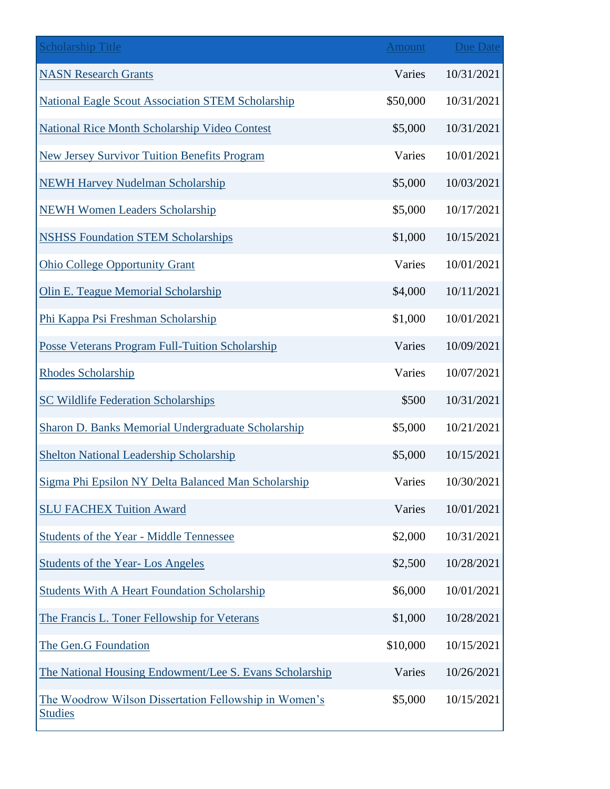| <b>Scholarship Title</b>                                                | Amount   | <b>Due Date</b> |
|-------------------------------------------------------------------------|----------|-----------------|
| <b>NASN Research Grants</b>                                             | Varies   | 10/31/2021      |
| <b>National Eagle Scout Association STEM Scholarship</b>                | \$50,000 | 10/31/2021      |
| National Rice Month Scholarship Video Contest                           | \$5,000  | 10/31/2021      |
| <b>New Jersey Survivor Tuition Benefits Program</b>                     | Varies   | 10/01/2021      |
| <b>NEWH Harvey Nudelman Scholarship</b>                                 | \$5,000  | 10/03/2021      |
| <b>NEWH Women Leaders Scholarship</b>                                   | \$5,000  | 10/17/2021      |
| <b>NSHSS Foundation STEM Scholarships</b>                               | \$1,000  | 10/15/2021      |
| <b>Ohio College Opportunity Grant</b>                                   | Varies   | 10/01/2021      |
| <b>Olin E. Teague Memorial Scholarship</b>                              | \$4,000  | 10/11/2021      |
| Phi Kappa Psi Freshman Scholarship                                      | \$1,000  | 10/01/2021      |
| <b>Posse Veterans Program Full-Tuition Scholarship</b>                  | Varies   | 10/09/2021      |
| <b>Rhodes Scholarship</b>                                               | Varies   | 10/07/2021      |
| <b>SC Wildlife Federation Scholarships</b>                              | \$500    | 10/31/2021      |
| Sharon D. Banks Memorial Undergraduate Scholarship                      | \$5,000  | 10/21/2021      |
| <b>Shelton National Leadership Scholarship</b>                          | \$5,000  | 10/15/2021      |
| Sigma Phi Epsilon NY Delta Balanced Man Scholarship                     | Varies   | 10/30/2021      |
| <b>SLU FACHEX Tuition Award</b>                                         | Varies   | 10/01/2021      |
| Students of the Year - Middle Tennessee                                 | \$2,000  | 10/31/2021      |
| <b>Students of the Year-Los Angeles</b>                                 | \$2,500  | 10/28/2021      |
| <b>Students With A Heart Foundation Scholarship</b>                     | \$6,000  | 10/01/2021      |
| The Francis L. Toner Fellowship for Veterans                            | \$1,000  | 10/28/2021      |
| The Gen.G Foundation                                                    | \$10,000 | 10/15/2021      |
| The National Housing Endowment/Lee S. Evans Scholarship                 | Varies   | 10/26/2021      |
| The Woodrow Wilson Dissertation Fellowship in Women's<br><b>Studies</b> | \$5,000  | 10/15/2021      |